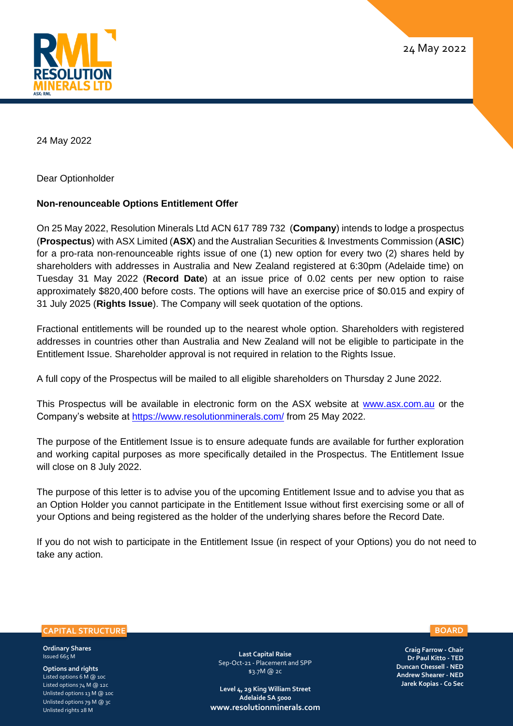



24 May 2022

Dear Optionholder

## **Non-renounceable Options Entitlement Offer**

On 25 May 2022, Resolution Minerals Ltd ACN 617 789 732 (**Company**) intends to lodge a prospectus (**Prospectus**) with ASX Limited (**ASX**) and the Australian Securities & Investments Commission (**ASIC**) for a pro-rata non-renounceable rights issue of one (1) new option for every two (2) shares held by shareholders with addresses in Australia and New Zealand registered at 6:30pm (Adelaide time) on Tuesday 31 May 2022 (**Record Date**) at an issue price of 0.02 cents per new option to raise approximately \$820,400 before costs. The options will have an exercise price of \$0.015 and expiry of 31 July 2025 (**Rights Issue**). The Company will seek quotation of the options.

Fractional entitlements will be rounded up to the nearest whole option. Shareholders with registered addresses in countries other than Australia and New Zealand will not be eligible to participate in the Entitlement Issue. Shareholder approval is not required in relation to the Rights Issue.

A full copy of the Prospectus will be mailed to all eligible shareholders on Thursday 2 June 2022.

This Prospectus will be available in electronic form on the ASX website at [www.asx.com.au](http://www.asx.com.au/) or the Company's website at<https://www.resolutionminerals.com/> from 25 May 2022.

The purpose of the Entitlement Issue is to ensure adequate funds are available for further exploration and working capital purposes as more specifically detailed in the Prospectus. The Entitlement Issue will close on 8 July 2022.

The purpose of this letter is to advise you of the upcoming Entitlement Issue and to advise you that as an Option Holder you cannot participate in the Entitlement Issue without first exercising some or all of your Options and being registered as the holder of the underlying shares before the Record Date.

If you do not wish to participate in the Entitlement Issue (in respect of your Options) you do not need to take any action.

## **CAPITAL STRUCTURE**

**Ordinary Shares**  Issued 665 M

**Options and rights** Listed options 6 M @ 10c Listed options 74 M @ 12c Unlisted options 13 M @ 10c Unlisted options 79 M @ 3c Unlisted rights 28 M

**Last Capital Raise** Sep-Oct-21 - Placement and SPP \$3.7M @ 2c

**Level 4, 29 King William Street Adelaide SA 5000 [www.resolutionminerals.com](http://www.resolutionminerals.com/)**

**Craig Farrow - Chair Dr Paul Kitto - TED Duncan Chessell - NED Andrew Shearer - NED Jarek Kopias - Co Sec**

## **BOARD**